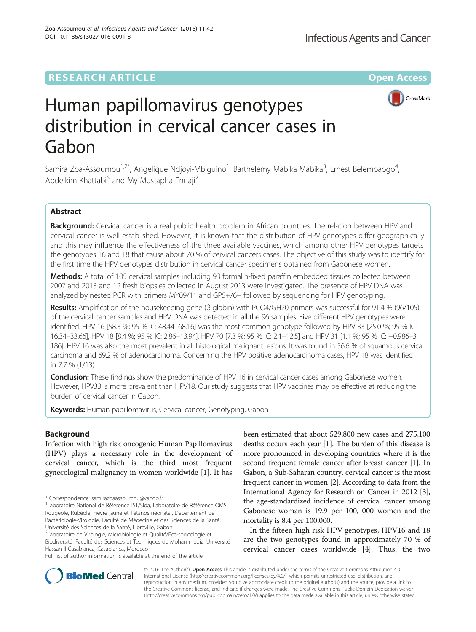# **RESEARCH ARTICLE Example 2014 12:30 The Contract of Contract ACCESS**



# Human papillomavirus genotypes distribution in cervical cancer cases in Gabon

Samira Zoa-Assoumou<sup>1,2\*</sup>, Angelique Ndjoyi-Mbiguino<sup>1</sup>, Barthelemy Mabika Mabika<sup>3</sup>, Ernest Belembaogo<sup>4</sup> , Abdelkim Khattabi<sup>5</sup> and My Mustapha Ennaji<sup>2</sup>

# Abstract

Background: Cervical cancer is a real public health problem in African countries. The relation between HPV and cervical cancer is well established. However, it is known that the distribution of HPV genotypes differ geographically and this may influence the effectiveness of the three available vaccines, which among other HPV genotypes targets the genotypes 16 and 18 that cause about 70 % of cervical cancers cases. The objective of this study was to identify for the first time the HPV genotypes distribution in cervical cancer specimens obtained from Gabonese women.

Methods: A total of 105 cervical samples including 93 formalin-fixed paraffin embedded tissues collected between 2007 and 2013 and 12 fresh biopsies collected in August 2013 were investigated. The presence of HPV DNA was analyzed by nested PCR with primers MY09/11 and GP5+/6+ followed by sequencing for HPV genotyping.

Results: Amplification of the housekeeping gene (β-globin) with PCO4/GH20 primers was successful for 91.4 % (96/105) of the cervical cancer samples and HPV DNA was detected in all the 96 samples. Five different HPV genotypes were identified. HPV 16 [58.3 %; 95 % IC: 48.44–68.16] was the most common genotype followed by HPV 33 [25.0 %; 95 % IC: 16.34–33.66], HPV 18 [8.4 %; 95 % IC: 2.86–13.94], HPV 70 [7.3 %; 95 % IC: 2.1–12.5] and HPV 31 [1.1 %; 95 % IC: −0.986–3. 186]. HPV 16 was also the most prevalent in all histological malignant lesions. It was found in 56.6 % of squamous cervical carcinoma and 69.2 % of adenocarcinoma. Concerning the HPV positive adenocarcinoma cases, HPV 18 was identified in 7.7 % (1/13).

**Conclusion:** These findings show the predominance of HPV 16 in cervical cancer cases among Gabonese women. However, HPV33 is more prevalent than HPV18. Our study suggests that HPV vaccines may be effective at reducing the burden of cervical cancer in Gabon.

Keywords: Human papillomavirus, Cervical cancer, Genotyping, Gabon

# Background

Infection with high risk oncogenic Human Papillomavirus (HPV) plays a necessary role in the development of cervical cancer, which is the third most frequent gynecological malignancy in women worldwide [\[1](#page-3-0)]. It has

<sup>2</sup>Laboratoire de Virologie, Microbiologie et Qualité/Eco-toxicologie et Biodiversité, Faculté des Sciences et Techniques de Mohammedia, Université Hassan II-Casablanca, Casablanca, Morocco

Full list of author information is available at the end of the article

been estimated that about 529,800 new cases and 275,100 deaths occurs each year [[1](#page-3-0)]. The burden of this disease is more pronounced in developing countries where it is the second frequent female cancer after breast cancer [\[1](#page-3-0)]. In Gabon, a Sub-Saharan country, cervical cancer is the most frequent cancer in women [\[2](#page-3-0)]. According to data from the International Agency for Research on Cancer in 2012 [[3](#page-3-0)], the age-standardized incidence of cervical cancer among Gabonese woman is 19.9 per 100, 000 women and the mortality is 8.4 per 100,000.

In the fifteen high risk HPV genotypes, HPV16 and 18 are the two genotypes found in approximately 70 % of cervical cancer cases worldwide [[4](#page-3-0)]. Thus, the two



© 2016 The Author(s). Open Access This article is distributed under the terms of the Creative Commons Attribution 4.0 International License [\(http://creativecommons.org/licenses/by/4.0/](http://creativecommons.org/licenses/by/4.0/)), which permits unrestricted use, distribution, and reproduction in any medium, provided you give appropriate credit to the original author(s) and the source, provide a link to the Creative Commons license, and indicate if changes were made. The Creative Commons Public Domain Dedication waiver [\(http://creativecommons.org/publicdomain/zero/1.0/](http://creativecommons.org/publicdomain/zero/1.0/)) applies to the data made available in this article, unless otherwise stated.

<sup>\*</sup> Correspondence: [samirazoaassoumou@yahoo.fr](mailto:samirazoaassoumou@yahoo.fr) <sup>1</sup>

<sup>&</sup>lt;sup>1</sup> Laboratoire National de Référence IST/Sida, Laboratoire de Référence OMS Rougeole, Rubéole, Fièvre jaune et Tétanos néonatal, Département de Bactériologie-Virologie, Faculté de Médecine et des Sciences de la Santé, Université des Sciences de la Santé, Libreville, Gabon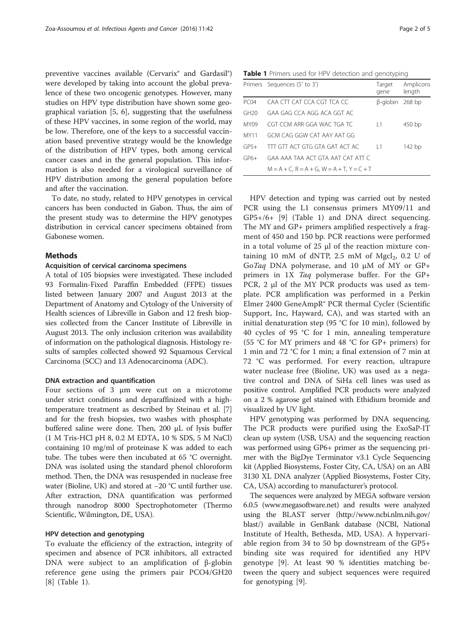<span id="page-1-0"></span>preventive vaccines available (Cervarix® and Gardasil®) were developed by taking into account the global prevalence of these two oncogenic genotypes. However, many studies on HPV type distribution have shown some geographical variation [[5, 6\]](#page-3-0), suggesting that the usefulness of these HPV vaccines, in some region of the world, may be low. Therefore, one of the keys to a successful vaccination based preventive strategy would be the knowledge of the distribution of HPV types, both among cervical cancer cases and in the general population. This information is also needed for a virological surveillance of HPV distribution among the general population before and after the vaccination.

To date, no study, related to HPV genotypes in cervical cancers has been conducted in Gabon. Thus, the aim of the present study was to determine the HPV genotypes distribution in cervical cancer specimens obtained from Gabonese women.

# **Methods**

## Acquisition of cervical carcinoma specimens

A total of 105 biopsies were investigated. These included 93 Formalin-Fixed Paraffin Embedded (FFPE) tissues listed between January 2007 and August 2013 at the Department of Anatomy and Cytology of the University of Health sciences of Libreville in Gabon and 12 fresh biopsies collected from the Cancer Institute of Libreville in August 2013. The only inclusion criterion was availability of information on the pathological diagnosis. Histology results of samples collected showed 92 Squamous Cervical Carcinoma (SCC) and 13 Adenocarcinoma (ADC).

## DNA extraction and quantification

Four sections of 3 μm were cut on a microtome under strict conditions and deparaffinized with a hightemperature treatment as described by Steinau et al. [[7](#page-3-0)] and for the fresh biopsies, two washes with phosphate buffered saline were done. Then, 200 μL of lysis buffer (1 M Tris-HCl pH 8, 0.2 M EDTA, 10 % SDS, 5 M NaCl) containing 10 mg/ml of proteinase K was added to each tube. The tubes were then incubated at 65 °C overnight. DNA was isolated using the standard phenol chloroform method. Then, the DNA was resuspended in nuclease free water (Bioline, UK) and stored at −20 °C until further use. After extraction, DNA quantification was performed through nanodrop 8000 Spectrophotometer (Thermo Scientific, Wilmington, DE, USA).

# HPV detection and genotyping

To evaluate the efficiency of the extraction, integrity of specimen and absence of PCR inhibitors, all extracted DNA were subject to an amplification of β-globin reference gene using the primers pair PCO4/GH20 [[8\]](#page-3-0) (Table 1).

Table 1 Primers used for HPV detection and genotyping

|                  | Primers Sequences (5' to 3')                          | Target<br>gene  | Amplicons<br>length |
|------------------|-------------------------------------------------------|-----------------|---------------------|
| PC <sub>04</sub> | CAA CTT CAT CCA CGT TCA CC                            | B-globin 268 bp |                     |
| GH20             | GAA GAG CCA AGG ACA GGT AC                            |                 |                     |
| MY <sub>09</sub> | CGT CCM ARR GGA WAC TGA TC                            | $\vert$ 1       | 450 bp              |
| <b>MY11</b>      | GCM CAG GGW CAT AAY AAT GG                            |                 |                     |
| $GP5+$           | TIT GTT ACT GTG GTA GAT ACT AC                        | $\vert$ 1       | 142 bp              |
| $GP6+$           | GAA AAA TAA ACT GTA AAT CAT ATT C                     |                 |                     |
|                  | $M = A + C$ , $R = A + G$ , $W = A + T$ , $Y = C + T$ |                 |                     |

HPV detection and typing was carried out by nested PCR using the L1 consensus primers MY09/11 and GP5+/6+ [[9\]](#page-4-0) (Table 1) and DNA direct sequencing. The MY and GP+ primers amplified respectively a fragment of 450 and 150 bp. PCR reactions were performed in a total volume of 25 μl of the reaction mixture containing 10 mM of dNTP, 2.5 mM of Mgcl<sub>2</sub>, 0.2 U of GoTaq DNA polymerase, and 10 μM of MY or GP+ primers in 1X Taq polymerase buffer. For the GP+ PCR, 2 μl of the MY PCR products was used as template. PCR amplification was performed in a Perkin Elmer 2400 GeneAmpR® PCR thermal Cycler (Scientific Support, Inc, Hayward, CA), and was started with an initial denaturation step (95 °C for 10 min), followed by 40 cycles of 95 °C for 1 min, annealing temperature (55 °C for MY primers and 48 °C for GP+ primers) for 1 min and 72 °C for 1 min; a final extension of 7 min at 72 °C was performed. For every reaction, ultrapure water nuclease free (Bioline, UK) was used as a negative control and DNA of SiHa cell lines was used as positive control. Amplified PCR products were analyzed on a 2 % agarose gel stained with Ethidium bromide and visualized by UV light.

HPV genotyping was performed by DNA sequencing. The PCR products were purified using the ExoSaP-IT clean up system (USB, USA) and the sequencing reaction was performed using GP6+ primer as the sequencing primer with the BigDye Terminator v3.1 Cycle Sequencing kit (Applied Biosystems, Foster City, CA, USA) on an ABI 3130 XL DNA analyzer (Applied Biosystems, Foster City, CA, USA) according to manufacturer's protocol.

The sequences were analyzed by MEGA software version 6.0.5 [\(www.megasoftware.net](http://www.megasoftware.net)) and results were analyzed using the BLAST server ([http://www.ncbi.nlm.nih.gov/](http://www.ncbi.nlm.nih.gov/blast/) [blast/](http://www.ncbi.nlm.nih.gov/blast/)) available in GenBank database (NCBI, National Institute of Health, Bethesda, MD, USA). A hypervariable region from 34 to 50 bp downstream of the GP5+ binding site was required for identified any HPV genotype [\[9](#page-4-0)]. At least 90 % identities matching between the query and subject sequences were required for genotyping [[9\]](#page-4-0).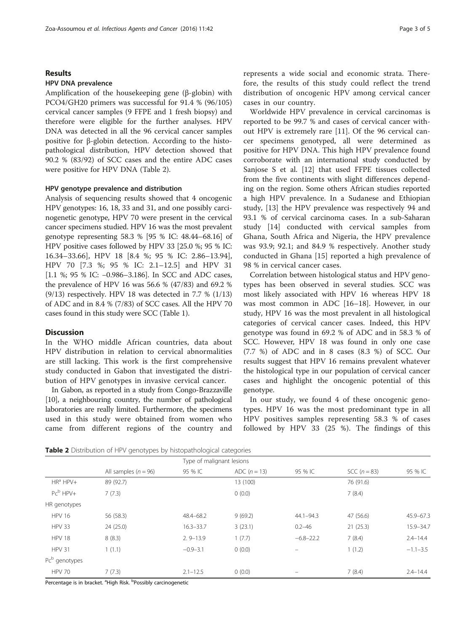# Results

## HPV DNA prevalence

Amplification of the housekeeping gene (β-globin) with PCO4/GH20 primers was successful for 91.4 % (96/105) cervical cancer samples (9 FFPE and 1 fresh biopsy) and therefore were eligible for the further analyses. HPV DNA was detected in all the 96 cervical cancer samples positive for β-globin detection. According to the histopathological distribution, HPV detection showed that 90.2 % (83/92) of SCC cases and the entire ADC cases were positive for HPV DNA (Table 2).

### HPV genotype prevalence and distribution

Analysis of sequencing results showed that 4 oncogenic HPV genotypes: 16, 18, 33 and 31, and one possibly carcinogenetic genotype, HPV 70 were present in the cervical cancer specimens studied. HPV 16 was the most prevalent genotype representing 58.3 % [95 % IC: 48.44–68.16] of HPV positive cases followed by HPV 33 [25.0 %; 95 % IC: 16.34–33.66], HPV 18 [8.4 %; 95 % IC: 2.86–13.94], HPV 70 [7.3 %; 95 % IC: 2.1–12.5] and HPV 31 [1.1 %; 95 % IC: −0.986–3.186]. In SCC and ADC cases, the prevalence of HPV 16 was 56.6 % (47/83) and 69.2 %  $(9/13)$  respectively. HPV 18 was detected in 7.7 %  $(1/13)$ of ADC and in 8.4 % (7/83) of SCC cases. All the HPV 70 cases found in this study were SCC (Table [1](#page-1-0)).

# **Discussion**

In the WHO middle African countries, data about HPV distribution in relation to cervical abnormalities are still lacking. This work is the first comprehensive study conducted in Gabon that investigated the distribution of HPV genotypes in invasive cervical cancer.

In Gabon, as reported in a study from Congo-Brazzaville [[10](#page-4-0)], a neighbouring country, the number of pathological laboratories are really limited. Furthermore, the specimens used in this study were obtained from women who came from different regions of the country and

represents a wide social and economic strata. Therefore, the results of this study could reflect the trend distribution of oncogenic HPV among cervical cancer cases in our country.

Worldwide HPV prevalence in cervical carcinomas is reported to be 99.7 % and cases of cervical cancer without HPV is extremely rare [[11](#page-4-0)]. Of the 96 cervical cancer specimens genotyped, all were determined as positive for HPV DNA. This high HPV prevalence found corroborate with an international study conducted by Sanjose S et al. [[12\]](#page-4-0) that used FFPE tissues collected from the five continents with slight differences depending on the region. Some others African studies reported a high HPV prevalence. In a Sudanese and Ethiopian study, [[13](#page-4-0)] the HPV prevalence was respectively 94 and 93.1 % of cervical carcinoma cases. In a sub-Saharan study [[14\]](#page-4-0) conducted with cervical samples from Ghana, South Africa and Nigeria, the HPV prevalence was 93.9; 92.1; and 84.9 % respectively. Another study conducted in Ghana [\[15](#page-4-0)] reported a high prevalence of 98 % in cervical cancer cases.

Correlation between histological status and HPV genotypes has been observed in several studies. SCC was most likely associated with HPV 16 whereas HPV 18 was most common in ADC [[16](#page-4-0)–[18\]](#page-4-0). However, in our study, HPV 16 was the most prevalent in all histological categories of cervical cancer cases. Indeed, this HPV genotype was found in 69.2 % of ADC and in 58.3 % of SCC. However, HPV 18 was found in only one case (7.7 %) of ADC and in 8 cases (8.3 %) of SCC. Our results suggest that HPV 16 remains prevalent whatever the histological type in our population of cervical cancer cases and highlight the oncogenic potential of this genotype.

In our study, we found 4 of these oncogenic genotypes. HPV 16 was the most predominant type in all HPV positives samples representing 58.3 % of cases followed by HPV 33 (25 %). The findings of this

| Table 2 Distribution of HPV genotypes by histopathological categories |  |  |  |  |
|-----------------------------------------------------------------------|--|--|--|--|
|-----------------------------------------------------------------------|--|--|--|--|

|               |                                                                                                                                                                                                                                | Type of malignant lesions |                    |               |                     |              |
|---------------|--------------------------------------------------------------------------------------------------------------------------------------------------------------------------------------------------------------------------------|---------------------------|--------------------|---------------|---------------------|--------------|
|               | All samples $(n = 96)$                                                                                                                                                                                                         | 95 % IC                   | ADC $(n=13)$       | 95 % IC       | $SCC (n = 83)$      | 95 % IC      |
| $HRa$ HPV+    | 89 (92.7)                                                                                                                                                                                                                      |                           | 13 (100)<br>0(0.0) |               | 76 (91.6)<br>7(8.4) |              |
| $Pc^b$ HPV+   | 7(7.3)                                                                                                                                                                                                                         |                           |                    |               |                     |              |
| HR genotypes  |                                                                                                                                                                                                                                |                           |                    |               |                     |              |
| <b>HPV 16</b> | 56 (58.3)                                                                                                                                                                                                                      | 48.4-68.2                 | 9(69.2)            | $44.1 - 94.3$ | 47 (56.6)           | 45.9-67.3    |
| <b>HPV 33</b> | 24(25.0)                                                                                                                                                                                                                       | $16.3 - 33.7$             | 3(23.1)            | $0.2 - 46$    | 21(25.3)            | 15.9-34.7    |
| <b>HPV 18</b> | 8(8.3)                                                                                                                                                                                                                         | $2.9 - 13.9$              | 1(7.7)             | $-6.8 - 22.2$ | 7(8.4)              | $2.4 - 14.4$ |
| <b>HPV 31</b> | 1(1.1)                                                                                                                                                                                                                         | $-0.9-3.1$                | 0(0.0)             | -             | 1(1.2)              | $-1.1 - 3.5$ |
| Pcb genotypes |                                                                                                                                                                                                                                |                           |                    |               |                     |              |
| <b>HPV 70</b> | 7(7.3)                                                                                                                                                                                                                         | $2.1 - 12.5$              | 0(0.0)             |               | 7(8.4)              | $2.4 - 14.4$ |
|               | the contract of the contract of the contract of the contract of the contract of the contract of the contract of the contract of the contract of the contract of the contract of the contract of the contract of the contract o |                           |                    |               |                     |              |

Percentage is in bracket. <sup>a</sup>High Risk. <sup>b</sup>Possibly carcinogenetic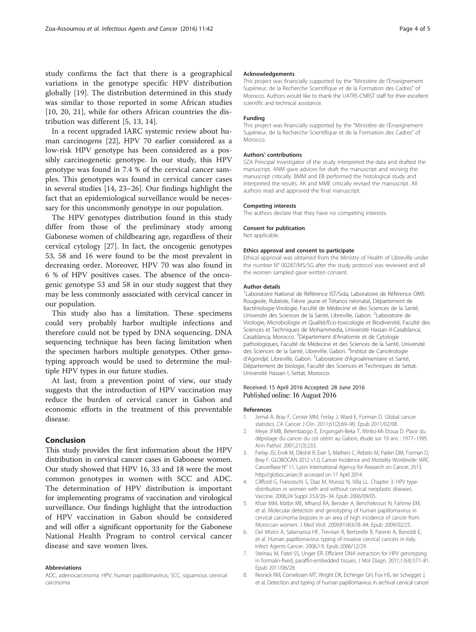<span id="page-3-0"></span>In a recent upgraded IARC systemic review about human carcinogens [\[22](#page-4-0)], HPV 70 earlier considered as a low-risk HPV genotype has been considered as a possibly carcinogenetic genotype. In our study, this HPV genotype was found in 7.4 % of the cervical cancer samples. This genotypes was found in cervical cancer cases in several studies [\[14](#page-4-0), [23](#page-4-0)–[26](#page-4-0)]. Our findings highlight the fact that an epidemiological surveillance would be necessary for this uncommonly genotype in our population.

The HPV genotypes distribution found in this study differ from those of the preliminary study among Gabonese women of childbearing age, regardless of their cervical cytology [\[27](#page-4-0)]. In fact, the oncogenic genotypes 53, 58 and 16 were found to be the most prevalent in decreasing order. Moreover, HPV 70 was also found in 6 % of HPV positives cases. The absence of the oncogenic genotype 53 and 58 in our study suggest that they may be less commonly associated with cervical cancer in our population.

This study also has a limitation. These specimens could very probably harbor multiple infections and therefore could not be typed by DNA sequencing. DNA sequencing technique has been facing limitation when the specimen harbors multiple genotypes. Other genotyping approach would be used to determine the multiple HPV types in our future studies.

At last, from a prevention point of view, our study suggests that the introduction of HPV vaccination may reduce the burden of cervical cancer in Gabon and economic efforts in the treatment of this preventable disease.

# Conclusion

This study provides the first information about the HPV distribution in cervical cancer cases in Gabonese women. Our study showed that HPV 16, 33 and 18 were the most common genotypes in women with SCC and ADC. The determination of HPV distribution is important for implementing programs of vaccination and virological surveillance. Our findings highlight that the introduction of HPV vaccination in Gabon should be considered and will offer a significant opportunity for the Gabonese National Health Program to control cervical cancer disease and save women lives.

#### Abbreviations

#### Acknowledgements

This project was financially supported by the "Ministère de l'Enseignement Supérieur, de la Recherche Scientifique et de la Formation des Cadres" of Morocco. Authors would like to thank the UATRS-CNRST staff for their excellent scientific and technical assistance.

#### Funding

This project was financially supported by the "Ministère de l'Enseignement Supérieur, de la Recherche Scientifique et de la Formation des Cadres" of Morocco.

#### Authors' contributions

SZA Principal Investigator of the study interpreted the data and drafted the manuscript. ANM gave advices for draft the manuscript and revising the manuscript critically. BMM and EB performed the histological study and interpreted the results. AK and MME critically revised the manuscript. All authors read and approved the final manuscript.

#### Competing interests

The authors declare that they have no competing interests.

#### Consent for publication

Not applicable.

#### Ethics approval and consent to participate

Ethical approval was obtained from the Ministry of Health of Libreville under the number N° 00287/MS/SG after the study protocol was reviewed and all the women sampled gave written consent.

#### Author details

<sup>1</sup> Laboratoire National de Référence IST/Sida, Laboratoire de Référence OMS Rougeole, Rubéole, Fièvre jaune et Tétanos néonatal, Département de Bactériologie-Virologie, Faculté de Médecine et des Sciences de la Santé, Université des Sciences de la Santé, Libreville, Gabon. <sup>2</sup>Laboratoire de Virologie, Microbiologie et Qualité/Eco-toxicologie et Biodiversité, Faculté des Sciences et Techniques de Mohammedia, Université Hassan II-Casablanca, Casablanca, Morocco. <sup>3</sup> Département d'Anatomie et de Cytologie pathologiques, Faculté de Médecine et des Sciences de la Santé, Université des Sciences de la Santé, Libreville, Gabon. <sup>4</sup>Institut de Cancérologie d'Agondjé, Libreville, Gabon. <sup>5</sup>Laboratoire d'Agroalimentaire et Santé, Département de biologie, Faculté des Sciences et Techniques de Settat, Université Hassan I, Settat, Morocco.

## Received: 15 April 2016 Accepted: 28 June 2016 Published online: 16 August 2016

#### References

- Jemal A, Bray F, Center MM, Ferlay J, Ward E, Forman D. Global cancer statistics. CA Cancer J Clin. 2011;61(2):69–90. Epub 2011/02/08.
- 2. Meye JFMB, Belembaogo E, Engongah-Beka T, Minko-Mi Etoua D. Place du dépistage du cancer du col utérin au Gabon, étude sur 19 ans : 1977–1995. Ann Pathol. 2001;21(3):233.
- 3. Ferlay JSI, Ervik M, Dikshit R, Eser S, Mathers C, Rebelo M, Parkin DM, Forman D, Bray F. GLOBOCAN 2012 v1.0, Cancer Incidence and Mortality Worldwide: IARC CancerBase N° 11. Lyon: International Agency for Research on Cancer; 2013. <http://globoc.aniarc.fr> accessed on 17 April 2014.
- 4. Clifford G, Franceschi S, Diaz M, Munoz N, Villa LL. Chapter 3: HPV typedistribution in women with and without cervical neoplastic diseases. Vaccine. 2006;24 Suppl 3:S3/26–34. Epub 2006/09/05.
- 5. Khair MM, Mzibri ME, Mhand RA, Benider A, Benchekroun N, Fahime EM, et al. Molecular detection and genotyping of human papillomavirus in cervical carcinoma biopsies in an area of high incidence of cancer from Moroccan women. J Med Virol. 2009;81(4):678–84. Epub 2009/02/25.
- 6. Del Mistro A, Salamanca HF, Trevisan R, Bertorelle R, Parenti A, Bonoldi E, et al. Human papillomavirus typing of invasive cervical cancers in Italy. Infect Agents Cancer. 2006;1:9. Epub 2006/12/29.
- 7. Steinau M, Patel SS, Unger ER. Efficient DNA extraction for HPV genotyping in formalin-fixed, paraffin-embedded tissues. J Mol Diagn. 2011;13(4):377–81. Epub 2011/06/28.
- 8. Resnick RM, Cornelissen MT, Wright DK, Eichinger GH, Fox HS, ter Schegget J, et al. Detection and typing of human papillomavirus in archival cervical cancer